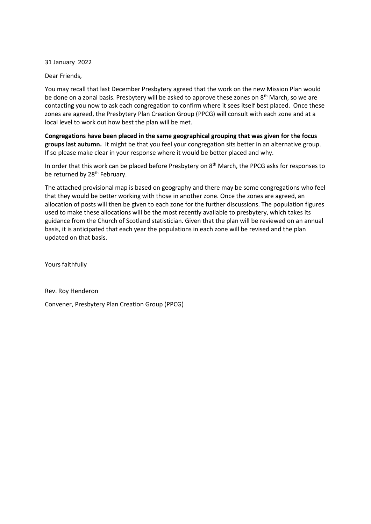31 January 2022

Dear Friends,

You may recall that last December Presbytery agreed that the work on the new Mission Plan would be done on a zonal basis. Presbytery will be asked to approve these zones on 8<sup>th</sup> March, so we are contacting you now to ask each congregation to confirm where it sees itself best placed. Once these zones are agreed, the Presbytery Plan Creation Group (PPCG) will consult with each zone and at a local level to work out how best the plan will be met.

**Congregations have been placed in the same geographical grouping that was given for the focus groups last autumn.** It might be that you feel your congregation sits better in an alternative group. If so please make clear in your response where it would be better placed and why.

In order that this work can be placed before Presbytery on 8<sup>th</sup> March, the PPCG asks for responses to be returned by 28<sup>th</sup> February.

The attached provisional map is based on geography and there may be some congregations who feel that they would be better working with those in another zone. Once the zones are agreed, an allocation of posts will then be given to each zone for the further discussions. The population figures used to make these allocations will be the most recently available to presbytery, which takes its guidance from the Church of Scotland statistician. Given that the plan will be reviewed on an annual basis, it is anticipated that each year the populations in each zone will be revised and the plan updated on that basis.

Yours faithfully

Rev. Roy Henderon

Convener, Presbytery Plan Creation Group (PPCG)